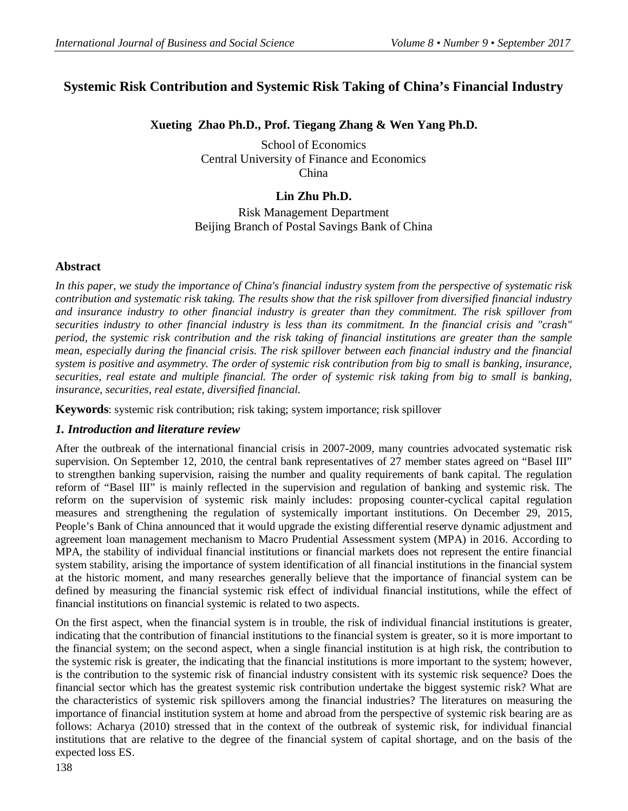# **Systemic Risk Contribution and Systemic Risk Taking of China's Financial Industry**

# **Xueting Zhao Ph.D., Prof. Tiegang Zhang & Wen Yang Ph.D.**

School of Economics Central University of Finance and Economics China

# **Lin Zhu Ph.D.**

Risk Management Department Beijing Branch of Postal Savings Bank of China

### **Abstract**

*In this paper, we study the importance of China's financial industry system from the perspective of systematic risk contribution and systematic risk taking. The results show that the risk spillover from diversified financial industry and insurance industry to other financial industry is greater than they commitment. The risk spillover from securities industry to other financial industry is less than its commitment. In the financial crisis and "crash" period, the systemic risk contribution and the risk taking of financial institutions are greater than the sample mean, especially during the financial crisis. The risk spillover between each financial industry and the financial system is positive and asymmetry. The order of systemic risk contribution from big to small is banking, insurance, securities, real estate and multiple financial. The order of systemic risk taking from big to small is banking, insurance, securities, real estate, diversified financial.*

**Keywords**: systemic risk contribution; risk taking; system importance; risk spillover

# *1. Introduction and literature review*

After the outbreak of the international financial crisis in 2007-2009, many countries advocated systematic risk supervision. On September 12, 2010, the central bank representatives of 27 member states agreed on "Basel III" to strengthen banking supervision, raising the number and quality requirements of bank capital. The regulation reform of "Basel III" is mainly reflected in the supervision and regulation of banking and systemic risk. The reform on the supervision of systemic risk mainly includes: proposing counter-cyclical capital regulation measures and strengthening the regulation of systemically important institutions. On December 29, 2015, People's Bank of China announced that it would upgrade the existing differential reserve dynamic adjustment and agreement loan management mechanism to Macro Prudential Assessment system (MPA) in 2016. According to MPA, the stability of individual financial institutions or financial markets does not represent the entire financial system stability, arising the importance of system identification of all financial institutions in the financial system at the historic moment, and many researches generally believe that the importance of financial system can be defined by measuring the financial systemic risk effect of individual financial institutions, while the effect of financial institutions on financial systemic is related to two aspects.

On the first aspect, when the financial system is in trouble, the risk of individual financial institutions is greater, indicating that the contribution of financial institutions to the financial system is greater, so it is more important to the financial system; on the second aspect, when a single financial institution is at high risk, the contribution to the systemic risk is greater, the indicating that the financial institutions is more important to the system; however, is the contribution to the systemic risk of financial industry consistent with its systemic risk sequence? Does the financial sector which has the greatest systemic risk contribution undertake the biggest systemic risk? What are the characteristics of systemic risk spillovers among the financial industries? The literatures on measuring the importance of financial institution system at home and abroad from the perspective of systemic risk bearing are as follows: Acharya (2010) stressed that in the context of the outbreak of systemic risk, for individual financial institutions that are relative to the degree of the financial system of capital shortage, and on the basis of the expected loss ES.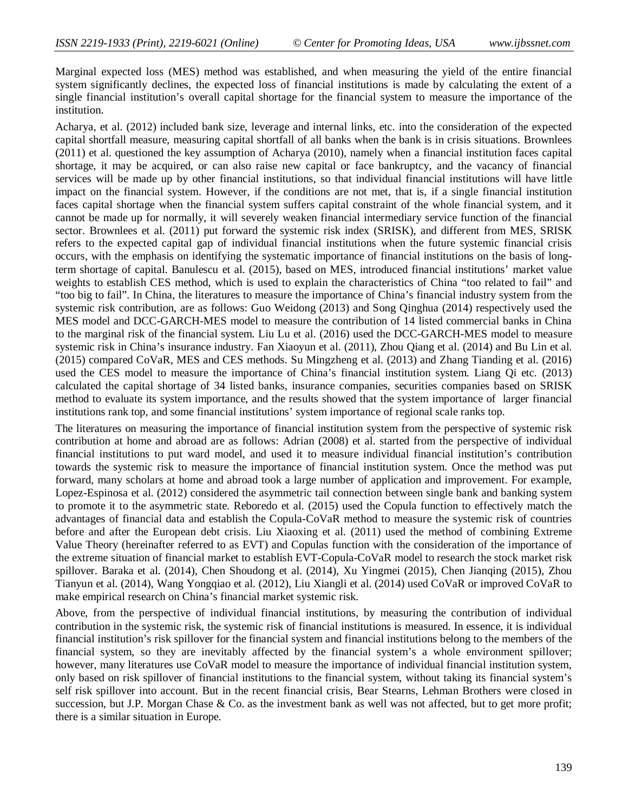Marginal expected loss (MES) method was established, and when measuring the yield of the entire financial system significantly declines, the expected loss of financial institutions is made by calculating the extent of a single financial institution's overall capital shortage for the financial system to measure the importance of the institution.

Acharya, et al. (2012) included bank size, leverage and internal links, etc. into the consideration of the expected capital shortfall measure, measuring capital shortfall of all banks when the bank is in crisis situations. Brownlees (2011) et al. questioned the key assumption of Acharya (2010), namely when a financial institution faces capital shortage, it may be acquired, or can also raise new capital or face bankruptcy, and the vacancy of financial services will be made up by other financial institutions, so that individual financial institutions will have little impact on the financial system. However, if the conditions are not met, that is, if a single financial institution faces capital shortage when the financial system suffers capital constraint of the whole financial system, and it cannot be made up for normally, it will severely weaken financial intermediary service function of the financial sector. Brownlees et al. (2011) put forward the systemic risk index (SRISK), and different from MES, SRISK refers to the expected capital gap of individual financial institutions when the future systemic financial crisis occurs, with the emphasis on identifying the systematic importance of financial institutions on the basis of longterm shortage of capital. Banulescu et al. (2015), based on MES, introduced financial institutions' market value weights to establish CES method, which is used to explain the characteristics of China "too related to fail" and "too big to fail". In China, the literatures to measure the importance of China's financial industry system from the systemic risk contribution, are as follows: Guo Weidong (2013) and Song Qinghua (2014) respectively used the MES model and DCC-GARCH-MES model to measure the contribution of 14 listed commercial banks in China to the marginal risk of the financial system. Liu Lu et al. (2016) used the DCC-GARCH-MES model to measure systemic risk in China's insurance industry. Fan Xiaoyun et al. (2011), Zhou Qiang et al. (2014) and Bu Lin et al. (2015) compared CoVaR, MES and CES methods. Su Mingzheng et al. (2013) and Zhang Tianding et al. (2016) used the CES model to measure the importance of China's financial institution system. Liang Qi etc. (2013) calculated the capital shortage of 34 listed banks, insurance companies, securities companies based on SRISK method to evaluate its system importance, and the results showed that the system importance of larger financial institutions rank top, and some financial institutions' system importance of regional scale ranks top.

The literatures on measuring the importance of financial institution system from the perspective of systemic risk contribution at home and abroad are as follows: Adrian (2008) et al. started from the perspective of individual financial institutions to put ward model, and used it to measure individual financial institution's contribution towards the systemic risk to measure the importance of financial institution system. Once the method was put forward, many scholars at home and abroad took a large number of application and improvement. For example, Lopez-Espinosa et al. (2012) considered the asymmetric tail connection between single bank and banking system to promote it to the asymmetric state. Reboredo et al. (2015) used the Copula function to effectively match the advantages of financial data and establish the Copula-CoVaR method to measure the systemic risk of countries before and after the European debt crisis. Liu Xiaoxing et al. (2011) used the method of combining Extreme Value Theory (hereinafter referred to as EVT) and Copulas function with the consideration of the importance of the extreme situation of financial market to establish EVT-Copula-CoVaR model to research the stock market risk spillover. Baraka et al. (2014), Chen Shoudong et al. (2014), Xu Yingmei (2015), Chen Jianqing (2015), Zhou Tianyun et al. (2014), Wang Yongqiao et al. (2012), Liu Xiangli et al. (2014) used CoVaR or improved CoVaR to make empirical research on China's financial market systemic risk.

Above, from the perspective of individual financial institutions, by measuring the contribution of individual contribution in the systemic risk, the systemic risk of financial institutions is measured. In essence, it is individual financial institution's risk spillover for the financial system and financial institutions belong to the members of the financial system, so they are inevitably affected by the financial system's a whole environment spillover; however, many literatures use CoVaR model to measure the importance of individual financial institution system, only based on risk spillover of financial institutions to the financial system, without taking its financial system's self risk spillover into account. But in the recent financial crisis, Bear Stearns, Lehman Brothers were closed in succession, but J.P. Morgan Chase & Co. as the investment bank as well was not affected, but to get more profit; there is a similar situation in Europe.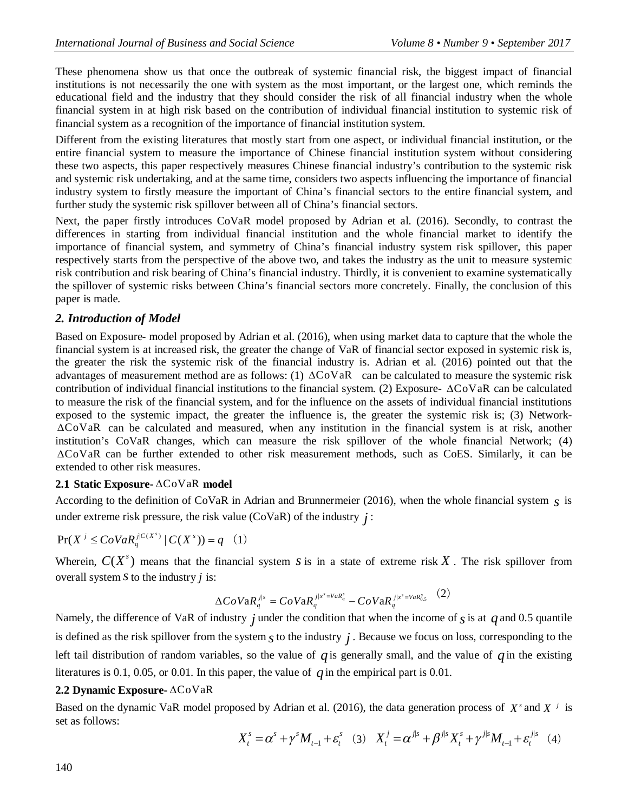These phenomena show us that once the outbreak of systemic financial risk, the biggest impact of financial institutions is not necessarily the one with system as the most important, or the largest one, which reminds the educational field and the industry that they should consider the risk of all financial industry when the whole financial system in at high risk based on the contribution of individual financial institution to systemic risk of financial system as a recognition of the importance of financial institution system.

Different from the existing literatures that mostly start from one aspect, or individual financial institution, or the entire financial system to measure the importance of Chinese financial institution system without considering these two aspects, this paper respectively measures Chinese financial industry's contribution to the systemic risk and systemic risk undertaking, and at the same time, considers two aspects influencing the importance of financial industry system to firstly measure the important of China's financial sectors to the entire financial system, and further study the systemic risk spillover between all of China's financial sectors.

Next, the paper firstly introduces CoVaR model proposed by Adrian et al. (2016). Secondly, to contrast the differences in starting from individual financial institution and the whole financial market to identify the importance of financial system, and symmetry of China's financial industry system risk spillover, this paper respectively starts from the perspective of the above two, and takes the industry as the unit to measure systemic risk contribution and risk bearing of China's financial industry. Thirdly, it is convenient to examine systematically the spillover of systemic risks between China's financial sectors more concretely. Finally, the conclusion of this paper is made.

# *2. Introduction of Model*

Based on Exposure- model proposed by Adrian et al. (2016), when using market data to capture that the whole the financial system is at increased risk, the greater the change of VaR of financial sector exposed in systemic risk is, the greater the risk the systemic risk of the financial industry is. Adrian et al. (2016) pointed out that the advantages of measurement method are as follows: (1)  $\Delta$ CoVaR can be calculated to measure the systemic risk contribution of individual financial institutions to the financial system. (2) Exposure-  $\Delta$ CoVaR can be calculated to measure the risk of the financial system, and for the influence on the assets of individual financial institutions exposed to the systemic impact, the greater the influence is, the greater the systemic risk is; (3) Network- CoVaR can be calculated and measured, when any institution in the financial system is at risk, another institution's CoVaR changes, which can measure the risk spillover of the whole financial Network; (4) CoVaR can be further extended to other risk measurement methods, such as CoES. Similarly, it can be extended to other risk measures.

# **2.1 Static Exposure-**  $\triangle$ CoVaR model

According to the definition of CoVaR in Adrian and Brunnermeier (2016), when the whole financial system *s* is under extreme risk pressure, the risk value  $(CoVaR)$  of the industry  $j$ :

$$
\Pr(X^{j} \leq C_{0}VaR_{q}^{j|C(X^{s})}|C(X^{s}))=q \quad (1)
$$

Wherein,  $C(X<sup>s</sup>)$  means that the financial system *s* is in a state of extreme risk X. The risk spillover from overall system *s*to the industry *j* is:

$$
\Delta CoVaR_{q}^{j|s} = CoVaR_{q}^{j|x^{s} = VaR_{q}^{s}} - CoVaR_{q}^{j|x^{s} = VaR_{0.5}^{s}} \quad (2)
$$

Namely, the difference of VaR of industry *j* under the condition that when the income of  *is at*  $*q*$  *and 0.5 quantile* is defined as the risk spillover from the system  $s$  to the industry  $j$ . Because we focus on loss, corresponding to the left tail distribution of random variables, so the value of  $q$  is generally small, and the value of  $q$  in the existing literatures is 0.1, 0.05, or 0.01. In this paper, the value of  $q$  in the empirical part is 0.01.

# **2.2 Dynamic Exposure-** ∆CoVaR

Based on the dynamic VaR model proposed by Adrian et al. (2016), the data generation process of  $X^s$  and  $X^j$  is set as follows:

> $X_t^s = \alpha^s + \gamma^s M_{t-1} + \varepsilon_t^s$  (3)  $X_t^j = \alpha^{j|s} + \beta^{j|s} X_t^s + \gamma^{j|s} M_{t-1} + \varepsilon_t^{j|s}$  $X_t^j = \alpha^{j|s} + \beta^{j|s} X_t^s + \gamma^{j|s} M_{t-1} + \varepsilon_t^{j|s}$  (4)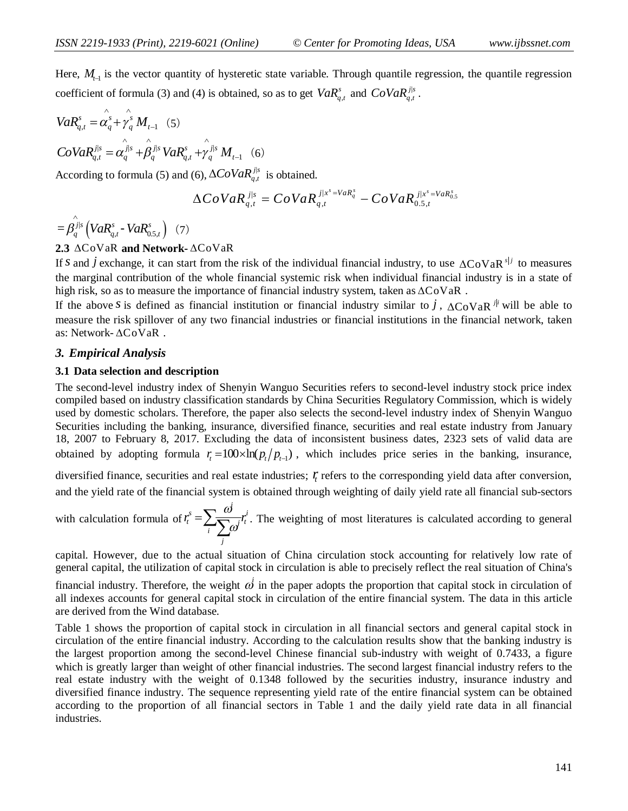Here,  $M<sub>t-1</sub>$  is the vector quantity of hysteretic state variable. Through quantile regression, the quantile regression coefficient of formula (3) and (4) is obtained, so as to get  $VaR<sub>q,t</sub><sup>s</sup>$  and  $CoVaR<sub>q,t</sub><sup>j|s</sup>$ .

$$
VaR_{q,t}^{s} = \hat{\alpha_{q}^{s}} + \hat{\gamma_{q}^{s}} M_{t-1} \quad (5)
$$
  
\n
$$
CoVaR_{q,t}^{j|s} = \hat{\alpha_{q}^{j|s}} + \hat{\beta_{q}^{j|s}} VaR_{q,t}^{s} + \hat{\gamma_{q}^{j|s}} M_{t-1} \quad (6)
$$

According to formula (5) and (6),  $\Delta CoVaR_{q,t}^{j|s}$  is obtained.

$$
\Delta CoVaR_{q,t}^{j|s} = CoVaR_{q,t}^{j|x^s = VaR_q^s} - CoVaR_{0.5,t}^{j|x^s = VaR_{0.5}^s}
$$

 $= \hat{\beta_q^{j_{|s}}}\left(VaR_{q,t}^{s}$  **·**  $VaR_{0.5,t}^{s}\right)$  $-VaR_{0.5t}^{s}$  (7)

### 2.3  $\triangle$ CoVaR **and Network-**  $\triangle$ CoVaR

If *s* and *j* exchange, it can start from the risk of the individual financial industry, to use  $\Delta C_0 V aR^{s|j}$  to measures the marginal contribution of the whole financial systemic risk when individual financial industry is in a state of high risk, so as to measure the importance of financial industry system, taken as  $\Delta$ CoVaR.

If the above *s* is defined as financial institution or financial industry similar to *j*,  $\Delta$ CoVaR <sup>j</sup> will be able to measure the risk spillover of any two financial industries or financial institutions in the financial network, taken as: Network-  $\triangle$ CoVaR.

#### *3. Empirical Analysis*

### **3.1 Data selection and description**

The second-level industry index of Shenyin Wanguo Securities refers to second-level industry stock price index compiled based on industry classification standards by China Securities Regulatory Commission, which is widely used by domestic scholars. Therefore, the paper also selects the second-level industry index of Shenyin Wanguo Securities including the banking, insurance, diversified finance, securities and real estate industry from January 18, 2007 to February 8, 2017. Excluding the data of inconsistent business dates, 2323 sets of valid data are obtained by adopting formula  $r_t = 100 \times \ln(p_t / p_{t-1})$ , which includes price series in the banking, insurance,

diversified finance, securities and real estate industries; *<sup>t</sup> r* refers to the corresponding yield data after conversion, and the yield rate of the financial system is obtained through weighting of daily yield rate all financial sub-sectors

with calculation formula of 
$$
r_t^s = \sum_i \frac{\omega^j}{\sum_j \omega^j} r_t^j
$$
. The weighting of most literatures is calculated according to general

capital. However, due to the actual situation of China circulation stock accounting for relatively low rate of general capital, the utilization of capital stock in circulation is able to precisely reflect the real situation of China's

financial industry. Therefore, the weight  $\omega$  in the paper adopts the proportion that capital stock in circulation of all indexes accounts for general capital stock in circulation of the entire financial system. The data in this article are derived from the Wind database.

Table 1 shows the proportion of capital stock in circulation in all financial sectors and general capital stock in circulation of the entire financial industry. According to the calculation results show that the banking industry is the largest proportion among the second-level Chinese financial sub-industry with weight of 0.7433, a figure which is greatly larger than weight of other financial industries. The second largest financial industry refers to the real estate industry with the weight of 0.1348 followed by the securities industry, insurance industry and diversified finance industry. The sequence representing yield rate of the entire financial system can be obtained according to the proportion of all financial sectors in Table 1 and the daily yield rate data in all financial industries.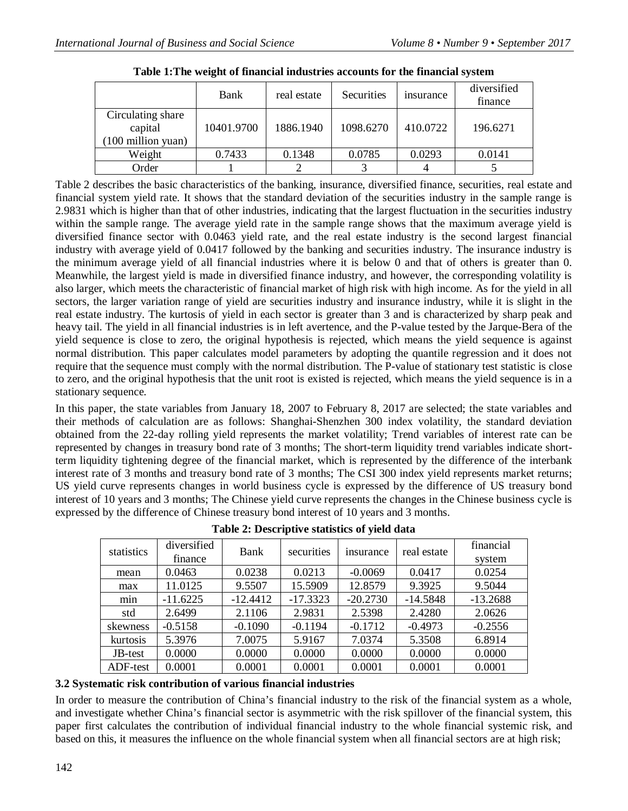|                                                              | Bank       | real estate | Securities | <i>s</i> insurance | diversified<br>finance |
|--------------------------------------------------------------|------------|-------------|------------|--------------------|------------------------|
| Circulating share<br>capital<br>$(100 \text{ million yuan})$ | 10401.9700 | 1886.1940   | 1098.6270  | 410.0722           | 196.6271               |
| Weight                                                       | 0.7433     | 0.1348      | 0.0785     | 0.0293             | 0.0141                 |
| Order                                                        |            |             |            |                    |                        |

**Table 1:The weight of financial industries accounts for the financial system**

Table 2 describes the basic characteristics of the banking, insurance, diversified finance, securities, real estate and financial system yield rate. It shows that the standard deviation of the securities industry in the sample range is 2.9831 which is higher than that of other industries, indicating that the largest fluctuation in the securities industry within the sample range. The average yield rate in the sample range shows that the maximum average yield is diversified finance sector with 0.0463 yield rate, and the real estate industry is the second largest financial industry with average yield of 0.0417 followed by the banking and securities industry. The insurance industry is the minimum average yield of all financial industries where it is below 0 and that of others is greater than 0. Meanwhile, the largest yield is made in diversified finance industry, and however, the corresponding volatility is also larger, which meets the characteristic of financial market of high risk with high income. As for the yield in all sectors, the larger variation range of yield are securities industry and insurance industry, while it is slight in the real estate industry. The kurtosis of yield in each sector is greater than 3 and is characterized by sharp peak and heavy tail. The yield in all financial industries is in left avertence, and the P-value tested by the Jarque-Bera of the yield sequence is close to zero, the original hypothesis is rejected, which means the yield sequence is against normal distribution. This paper calculates model parameters by adopting the quantile regression and it does not require that the sequence must comply with the normal distribution. The P-value of stationary test statistic is close to zero, and the original hypothesis that the unit root is existed is rejected, which means the yield sequence is in a stationary sequence.

In this paper, the state variables from January 18, 2007 to February 8, 2017 are selected; the state variables and their methods of calculation are as follows: Shanghai-Shenzhen 300 index volatility, the standard deviation obtained from the 22-day rolling yield represents the market volatility; Trend variables of interest rate can be represented by changes in treasury bond rate of 3 months; The short-term liquidity trend variables indicate shortterm liquidity tightening degree of the financial market, which is represented by the difference of the interbank interest rate of 3 months and treasury bond rate of 3 months; The CSI 300 index yield represents market returns; US yield curve represents changes in world business cycle is expressed by the difference of US treasury bond interest of 10 years and 3 months; The Chinese yield curve represents the changes in the Chinese business cycle is expressed by the difference of Chinese treasury bond interest of 10 years and 3 months.

| statistics | diversified | Bank       | securities | insurance  | real estate | financial  |
|------------|-------------|------------|------------|------------|-------------|------------|
|            | finance     |            |            |            |             | system     |
| mean       | 0.0463      | 0.0238     | 0.0213     | $-0.0069$  | 0.0417      | 0.0254     |
| max        | 11.0125     | 9.5507     | 15.5909    | 12.8579    | 9.3925      | 9.5044     |
| min        | $-11.6225$  | $-12.4412$ | $-17.3323$ | $-20.2730$ | $-14.5848$  | $-13.2688$ |
| std        | 2.6499      | 2.1106     | 2.9831     | 2.5398     | 2.4280      | 2.0626     |
| skewness   | $-0.5158$   | $-0.1090$  | $-0.1194$  | $-0.1712$  | $-0.4973$   | $-0.2556$  |
| kurtosis   | 5.3976      | 7.0075     | 5.9167     | 7.0374     | 5.3508      | 6.8914     |
| JB-test    | 0.0000      | 0.0000     | 0.0000     | 0.0000     | 0.0000      | 0.0000     |
| ADF-test   | 0.0001      | 0.0001     | 0.0001     | 0.0001     | 0.0001      | 0.0001     |

**Table 2: Descriptive statistics of yield data**

# **3.2 Systematic risk contribution of various financial industries**

In order to measure the contribution of China's financial industry to the risk of the financial system as a whole, and investigate whether China's financial sector is asymmetric with the risk spillover of the financial system, this paper first calculates the contribution of individual financial industry to the whole financial systemic risk, and based on this, it measures the influence on the whole financial system when all financial sectors are at high risk;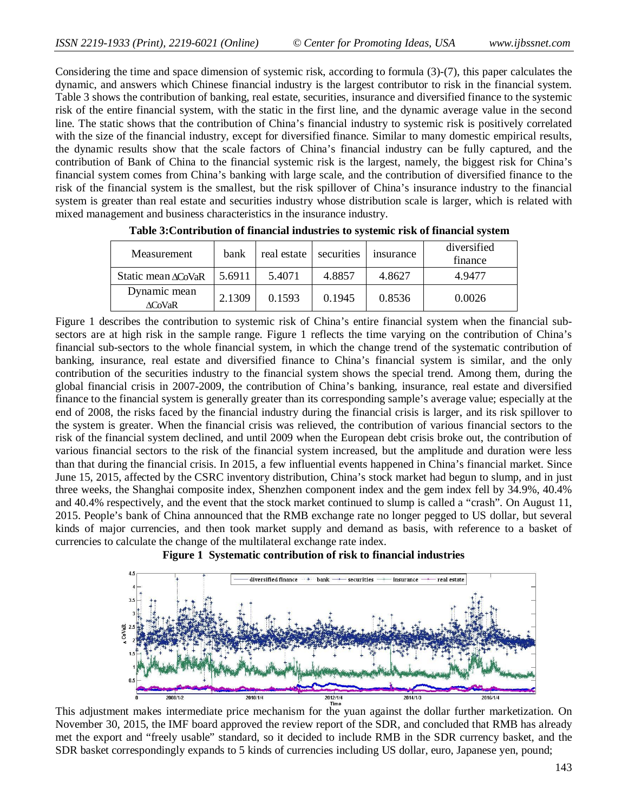Considering the time and space dimension of systemic risk, according to formula (3)-(7), this paper calculates the dynamic, and answers which Chinese financial industry is the largest contributor to risk in the financial system. Table 3 shows the contribution of banking, real estate, securities, insurance and diversified finance to the systemic risk of the entire financial system, with the static in the first line, and the dynamic average value in the second line. The static shows that the contribution of China's financial industry to systemic risk is positively correlated with the size of the financial industry, except for diversified finance. Similar to many domestic empirical results, the dynamic results show that the scale factors of China's financial industry can be fully captured, and the contribution of Bank of China to the financial systemic risk is the largest, namely, the biggest risk for China's financial system comes from China's banking with large scale, and the contribution of diversified finance to the risk of the financial system is the smallest, but the risk spillover of China's insurance industry to the financial system is greater than real estate and securities industry whose distribution scale is larger, which is related with mixed management and business characteristics in the insurance industry.

| <b>Measurement</b>            | bank   | real estate | securities | <i>s</i> insurance | diversified<br>finance |
|-------------------------------|--------|-------------|------------|--------------------|------------------------|
| Static mean $\triangle$ CoVaR | 5.6911 | 5.4071      | 4.8857     | 4.8627             | 4.9477                 |
| Dynamic mean<br><b>ACoVaR</b> | 2.1309 | 0.1593      | 0.1945     | 0.8536             | 0.0026                 |

**Table 3:Contribution of financial industries to systemic risk of financial system**

Figure 1 describes the contribution to systemic risk of China's entire financial system when the financial subsectors are at high risk in the sample range. Figure 1 reflects the time varying on the contribution of China's financial sub-sectors to the whole financial system, in which the change trend of the systematic contribution of banking, insurance, real estate and diversified finance to China's financial system is similar, and the only contribution of the securities industry to the financial system shows the special trend. Among them, during the global financial crisis in 2007-2009, the contribution of China's banking, insurance, real estate and diversified finance to the financial system is generally greater than its corresponding sample's average value; especially at the end of 2008, the risks faced by the financial industry during the financial crisis is larger, and its risk spillover to the system is greater. When the financial crisis was relieved, the contribution of various financial sectors to the risk of the financial system declined, and until 2009 when the European debt crisis broke out, the contribution of various financial sectors to the risk of the financial system increased, but the amplitude and duration were less than that during the financial crisis. In 2015, a few influential events happened in China's financial market. Since June 15, 2015, affected by the CSRC inventory distribution, China's stock market had begun to slump, and in just three weeks, the Shanghai composite index, Shenzhen component index and the gem index fell by 34.9%, 40.4% and 40.4% respectively, and the event that the stock market continued to slump is called a "crash". On August 11, 2015. People's bank of China announced that the RMB exchange rate no longer pegged to US dollar, but several kinds of major currencies, and then took market supply and demand as basis, with reference to a basket of currencies to calculate the change of the multilateral exchange rate index.





This adjustment makes intermediate price mechanism for the yuan against the dollar further marketization. On November 30, 2015, the IMF board approved the review report of the SDR, and concluded that RMB has already met the export and "freely usable" standard, so it decided to include RMB in the SDR currency basket, and the SDR basket correspondingly expands to 5 kinds of currencies including US dollar, euro, Japanese yen, pound;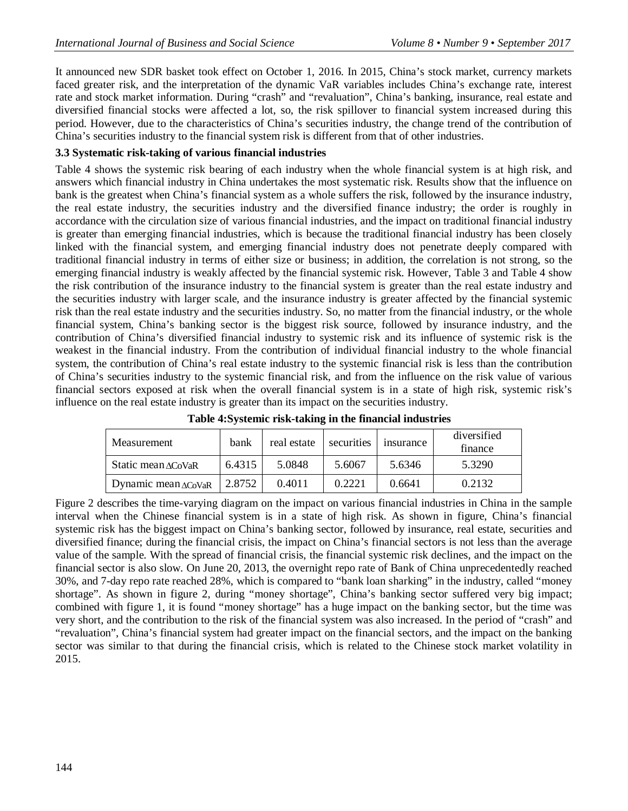It announced new SDR basket took effect on October 1, 2016. In 2015, China's stock market, currency markets faced greater risk, and the interpretation of the dynamic VaR variables includes China's exchange rate, interest rate and stock market information. During "crash" and "revaluation", China's banking, insurance, real estate and diversified financial stocks were affected a lot, so, the risk spillover to financial system increased during this period. However, due to the characteristics of China's securities industry, the change trend of the contribution of China's securities industry to the financial system risk is different from that of other industries.

### **3.3 Systematic risk-taking of various financial industries**

Table 4 shows the systemic risk bearing of each industry when the whole financial system is at high risk, and answers which financial industry in China undertakes the most systematic risk. Results show that the influence on bank is the greatest when China's financial system as a whole suffers the risk, followed by the insurance industry, the real estate industry, the securities industry and the diversified finance industry; the order is roughly in accordance with the circulation size of various financial industries, and the impact on traditional financial industry is greater than emerging financial industries, which is because the traditional financial industry has been closely linked with the financial system, and emerging financial industry does not penetrate deeply compared with traditional financial industry in terms of either size or business; in addition, the correlation is not strong, so the emerging financial industry is weakly affected by the financial systemic risk. However, Table 3 and Table 4 show the risk contribution of the insurance industry to the financial system is greater than the real estate industry and the securities industry with larger scale, and the insurance industry is greater affected by the financial systemic risk than the real estate industry and the securities industry. So, no matter from the financial industry, or the whole financial system, China's banking sector is the biggest risk source, followed by insurance industry, and the contribution of China's diversified financial industry to systemic risk and its influence of systemic risk is the weakest in the financial industry. From the contribution of individual financial industry to the whole financial system, the contribution of China's real estate industry to the systemic financial risk is less than the contribution of China's securities industry to the systemic financial risk, and from the influence on the risk value of various financial sectors exposed at risk when the overall financial system is in a state of high risk, systemic risk's influence on the real estate industry is greater than its impact on the securities industry.

| Measurement                    | bank   | real estate | securities | <i>s</i> insurance | diversified<br>finance |
|--------------------------------|--------|-------------|------------|--------------------|------------------------|
| Static mean $\triangle$ CoVaR  | 6.4315 | 5.0848      | 5.6067     | 5.6346             | 5.3290                 |
| Dynamic mean $\triangle$ CoVaR | 2.8752 | 0.4011      | 0.2221     | 0.6641             | 0.2132                 |

**Table 4:Systemic risk-taking in the financial industries**

Figure 2 describes the time-varying diagram on the impact on various financial industries in China in the sample interval when the Chinese financial system is in a state of high risk. As shown in figure, China's financial systemic risk has the biggest impact on China's banking sector, followed by insurance, real estate, securities and diversified finance; during the financial crisis, the impact on China's financial sectors is not less than the average value of the sample. With the spread of financial crisis, the financial systemic risk declines, and the impact on the financial sector is also slow. On June 20, 2013, the overnight repo rate of Bank of China unprecedentedly reached 30%, and 7-day repo rate reached 28%, which is compared to "bank loan sharking" in the industry, called "money shortage". As shown in figure 2, during "money shortage", China's banking sector suffered very big impact; combined with figure 1, it is found "money shortage" has a huge impact on the banking sector, but the time was very short, and the contribution to the risk of the financial system was also increased. In the period of "crash" and "revaluation", China's financial system had greater impact on the financial sectors, and the impact on the banking sector was similar to that during the financial crisis, which is related to the Chinese stock market volatility in 2015.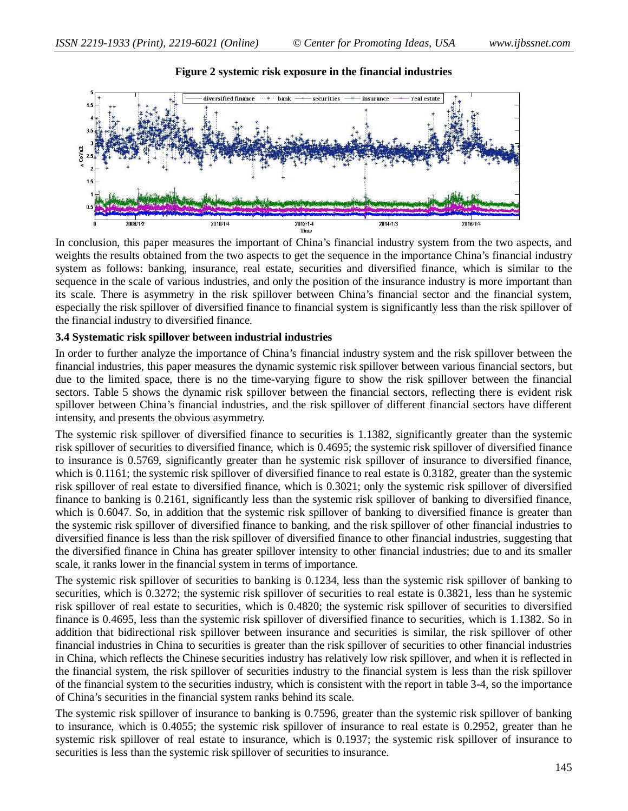

#### **Figure 2 systemic risk exposure in the financial industries**

In conclusion, this paper measures the important of China's financial industry system from the two aspects, and weights the results obtained from the two aspects to get the sequence in the importance China's financial industry system as follows: banking, insurance, real estate, securities and diversified finance, which is similar to the sequence in the scale of various industries, and only the position of the insurance industry is more important than its scale. There is asymmetry in the risk spillover between China's financial sector and the financial system, especially the risk spillover of diversified finance to financial system is significantly less than the risk spillover of the financial industry to diversified finance.

#### **3.4 Systematic risk spillover between industrial industries**

In order to further analyze the importance of China's financial industry system and the risk spillover between the financial industries, this paper measures the dynamic systemic risk spillover between various financial sectors, but due to the limited space, there is no the time-varying figure to show the risk spillover between the financial sectors. Table 5 shows the dynamic risk spillover between the financial sectors, reflecting there is evident risk spillover between China's financial industries, and the risk spillover of different financial sectors have different intensity, and presents the obvious asymmetry.

The systemic risk spillover of diversified finance to securities is 1.1382, significantly greater than the systemic risk spillover of securities to diversified finance, which is 0.4695; the systemic risk spillover of diversified finance to insurance is 0.5769, significantly greater than he systemic risk spillover of insurance to diversified finance, which is 0.1161; the systemic risk spillover of diversified finance to real estate is 0.3182, greater than the systemic risk spillover of real estate to diversified finance, which is 0.3021; only the systemic risk spillover of diversified finance to banking is 0.2161, significantly less than the systemic risk spillover of banking to diversified finance, which is 0.6047. So, in addition that the systemic risk spillover of banking to diversified finance is greater than the systemic risk spillover of diversified finance to banking, and the risk spillover of other financial industries to diversified finance is less than the risk spillover of diversified finance to other financial industries, suggesting that the diversified finance in China has greater spillover intensity to other financial industries; due to and its smaller scale, it ranks lower in the financial system in terms of importance.

The systemic risk spillover of securities to banking is 0.1234, less than the systemic risk spillover of banking to securities, which is 0.3272; the systemic risk spillover of securities to real estate is 0.3821, less than he systemic risk spillover of real estate to securities, which is 0.4820; the systemic risk spillover of securities to diversified finance is 0.4695, less than the systemic risk spillover of diversified finance to securities, which is 1.1382. So in addition that bidirectional risk spillover between insurance and securities is similar, the risk spillover of other financial industries in China to securities is greater than the risk spillover of securities to other financial industries in China, which reflects the Chinese securities industry has relatively low risk spillover, and when it is reflected in the financial system, the risk spillover of securities industry to the financial system is less than the risk spillover of the financial system to the securities industry, which is consistent with the report in table 3-4, so the importance of China's securities in the financial system ranks behind its scale.

The systemic risk spillover of insurance to banking is 0.7596, greater than the systemic risk spillover of banking to insurance, which is 0.4055; the systemic risk spillover of insurance to real estate is 0.2952, greater than he systemic risk spillover of real estate to insurance, which is 0.1937; the systemic risk spillover of insurance to securities is less than the systemic risk spillover of securities to insurance.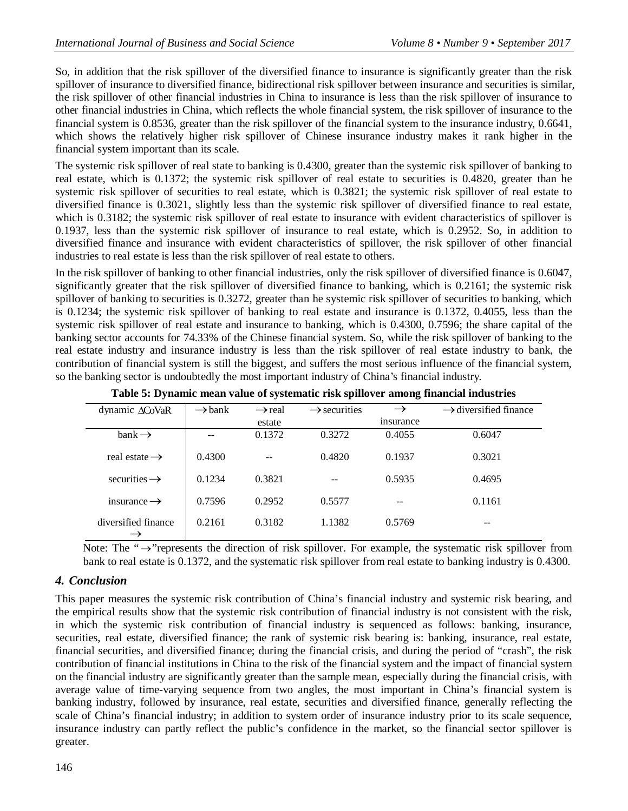So, in addition that the risk spillover of the diversified finance to insurance is significantly greater than the risk spillover of insurance to diversified finance, bidirectional risk spillover between insurance and securities is similar, the risk spillover of other financial industries in China to insurance is less than the risk spillover of insurance to other financial industries in China, which reflects the whole financial system, the risk spillover of insurance to the financial system is 0.8536, greater than the risk spillover of the financial system to the insurance industry, 0.6641, which shows the relatively higher risk spillover of Chinese insurance industry makes it rank higher in the financial system important than its scale.

The systemic risk spillover of real state to banking is 0.4300, greater than the systemic risk spillover of banking to real estate, which is 0.1372; the systemic risk spillover of real estate to securities is 0.4820, greater than he systemic risk spillover of securities to real estate, which is 0.3821; the systemic risk spillover of real estate to diversified finance is 0.3021, slightly less than the systemic risk spillover of diversified finance to real estate, which is 0.3182; the systemic risk spillover of real estate to insurance with evident characteristics of spillover is 0.1937, less than the systemic risk spillover of insurance to real estate, which is 0.2952. So, in addition to diversified finance and insurance with evident characteristics of spillover, the risk spillover of other financial industries to real estate is less than the risk spillover of real estate to others.

In the risk spillover of banking to other financial industries, only the risk spillover of diversified finance is 0.6047, significantly greater that the risk spillover of diversified finance to banking, which is 0.2161; the systemic risk spillover of banking to securities is 0.3272, greater than he systemic risk spillover of securities to banking, which is 0.1234; the systemic risk spillover of banking to real estate and insurance is 0.1372, 0.4055, less than the systemic risk spillover of real estate and insurance to banking, which is 0.4300, 0.7596; the share capital of the banking sector accounts for 74.33% of the Chinese financial system. So, while the risk spillover of banking to the real estate industry and insurance industry is less than the risk spillover of real estate industry to bank, the contribution of financial system is still the biggest, and suffers the most serious influence of the financial system, so the banking sector is undoubtedly the most important industry of China's financial industry.

| dynamic ∆CoVaR            | $\rightarrow$ bank | $\rightarrow$ real | $\rightarrow$ securities |           | $\rightarrow$ diversified finance |
|---------------------------|--------------------|--------------------|--------------------------|-----------|-----------------------------------|
|                           |                    | estate             |                          | insurance |                                   |
| $bank \rightarrow$        |                    | 0.1372             | 0.3272                   | 0.4055    | 0.6047                            |
| real estate $\rightarrow$ | 0.4300             |                    | 0.4820                   | 0.1937    | 0.3021                            |
| securities $\rightarrow$  | 0.1234             | 0.3821             |                          | 0.5935    | 0.4695                            |
| insurance $\rightarrow$   | 0.7596             | 0.2952             | 0.5577                   | --        | 0.1161                            |
| diversified finance       | 0.2161             | 0.3182             | 1.1382                   | 0.5769    |                                   |

**Table 5: Dynamic mean value of systematic risk spillover among financial industries**

Note: The " $\rightarrow$ "represents the direction of risk spillover. For example, the systematic risk spillover from bank to real estate is 0.1372, and the systematic risk spillover from real estate to banking industry is 0.4300.

# *4. Conclusion*

This paper measures the systemic risk contribution of China's financial industry and systemic risk bearing, and the empirical results show that the systemic risk contribution of financial industry is not consistent with the risk, in which the systemic risk contribution of financial industry is sequenced as follows: banking, insurance, securities, real estate, diversified finance; the rank of systemic risk bearing is: banking, insurance, real estate, financial securities, and diversified finance; during the financial crisis, and during the period of "crash", the risk contribution of financial institutions in China to the risk of the financial system and the impact of financial system on the financial industry are significantly greater than the sample mean, especially during the financial crisis, with average value of time-varying sequence from two angles, the most important in China's financial system is banking industry, followed by insurance, real estate, securities and diversified finance, generally reflecting the scale of China's financial industry; in addition to system order of insurance industry prior to its scale sequence, insurance industry can partly reflect the public's confidence in the market, so the financial sector spillover is greater.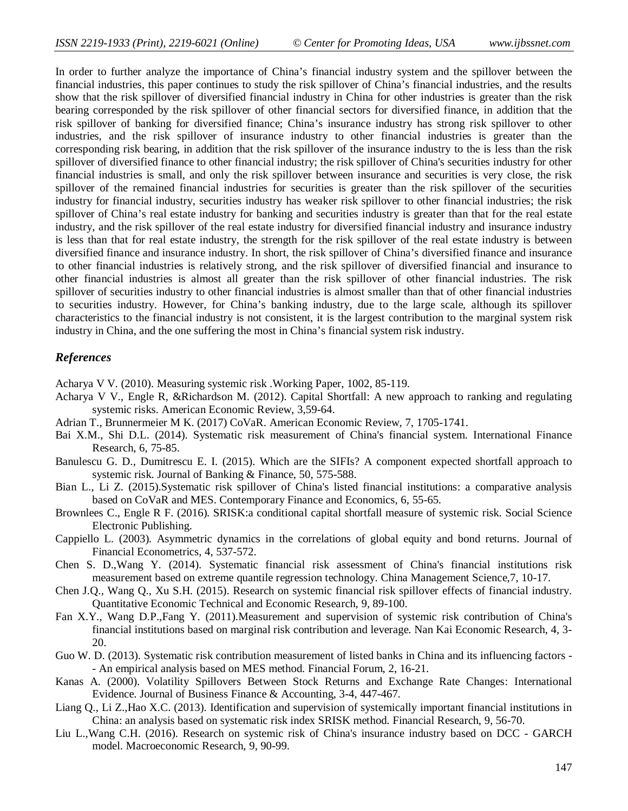In order to further analyze the importance of China's financial industry system and the spillover between the financial industries, this paper continues to study the risk spillover of China's financial industries, and the results show that the risk spillover of diversified financial industry in China for other industries is greater than the risk bearing corresponded by the risk spillover of other financial sectors for diversified finance, in addition that the risk spillover of banking for diversified finance; China's insurance industry has strong risk spillover to other industries, and the risk spillover of insurance industry to other financial industries is greater than the corresponding risk bearing, in addition that the risk spillover of the insurance industry to the is less than the risk spillover of diversified finance to other financial industry; the risk spillover of China's securities industry for other financial industries is small, and only the risk spillover between insurance and securities is very close, the risk spillover of the remained financial industries for securities is greater than the risk spillover of the securities industry for financial industry, securities industry has weaker risk spillover to other financial industries; the risk spillover of China's real estate industry for banking and securities industry is greater than that for the real estate industry, and the risk spillover of the real estate industry for diversified financial industry and insurance industry is less than that for real estate industry, the strength for the risk spillover of the real estate industry is between diversified finance and insurance industry. In short, the risk spillover of China's diversified finance and insurance to other financial industries is relatively strong, and the risk spillover of diversified financial and insurance to other financial industries is almost all greater than the risk spillover of other financial industries. The risk spillover of securities industry to other financial industries is almost smaller than that of other financial industries to securities industry. However, for China's banking industry, due to the large scale, although its spillover characteristics to the financial industry is not consistent, it is the largest contribution to the marginal system risk industry in China, and the one suffering the most in China's financial system risk industry.

### *References*

Acharya V V. (2010). Measuring systemic risk .Working Paper, 1002, 85-119.

- Acharya V V., Engle R, &Richardson M. (2012). Capital Shortfall: A new approach to ranking and regulating systemic risks. American Economic Review, 3,59-64.
- Adrian T., Brunnermeier M K. (2017) CoVaR. American Economic Review, 7, 1705-1741.
- Bai X.M., Shi D.L. (2014). Systematic risk measurement of China's financial system. International Finance Research, 6, 75-85.
- Banulescu G. D., Dumitrescu E. I. (2015). Which are the SIFIs? A component expected shortfall approach to systemic risk. Journal of Banking & Finance, 50, 575-588.
- Bian L., Li Z. (2015).Systematic risk spillover of China's listed financial institutions: a comparative analysis based on CoVaR and MES. Contemporary Finance and Economics, 6, 55-65.
- Brownlees C., Engle R F. (2016). SRISK:a conditional capital shortfall measure of systemic risk. Social Science Electronic Publishing.
- Cappiello L. (2003). Asymmetric dynamics in the correlations of global equity and bond returns. Journal of Financial Econometrics, 4, 537-572.
- Chen S. D.,Wang Y. (2014). Systematic financial risk assessment of China's financial institutions risk measurement based on extreme quantile regression technology. China Management Science,7, 10-17.
- Chen J.Q., Wang Q., Xu S.H. (2015). Research on systemic financial risk spillover effects of financial industry. Quantitative Economic Technical and Economic Research, 9, 89-100.
- Fan X.Y., Wang D.P.,Fang Y. (2011).Measurement and supervision of systemic risk contribution of China's financial institutions based on marginal risk contribution and leverage. Nan Kai Economic Research, 4, 3- 20.
- Guo W. D. (2013). Systematic risk contribution measurement of listed banks in China and its influencing factors -- An empirical analysis based on MES method. Financial Forum, 2, 16-21.
- Kanas A. (2000). Volatility Spillovers Between Stock Returns and Exchange Rate Changes: International Evidence. Journal of Business Finance & Accounting, 3-4, 447-467.
- Liang Q., Li Z.,Hao X.C. (2013). Identification and supervision of systemically important financial institutions in China: an analysis based on systematic risk index SRISK method. Financial Research, 9, 56-70.
- Liu L.,Wang C.H. (2016). Research on systemic risk of China's insurance industry based on DCC GARCH model. Macroeconomic Research, 9, 90-99.